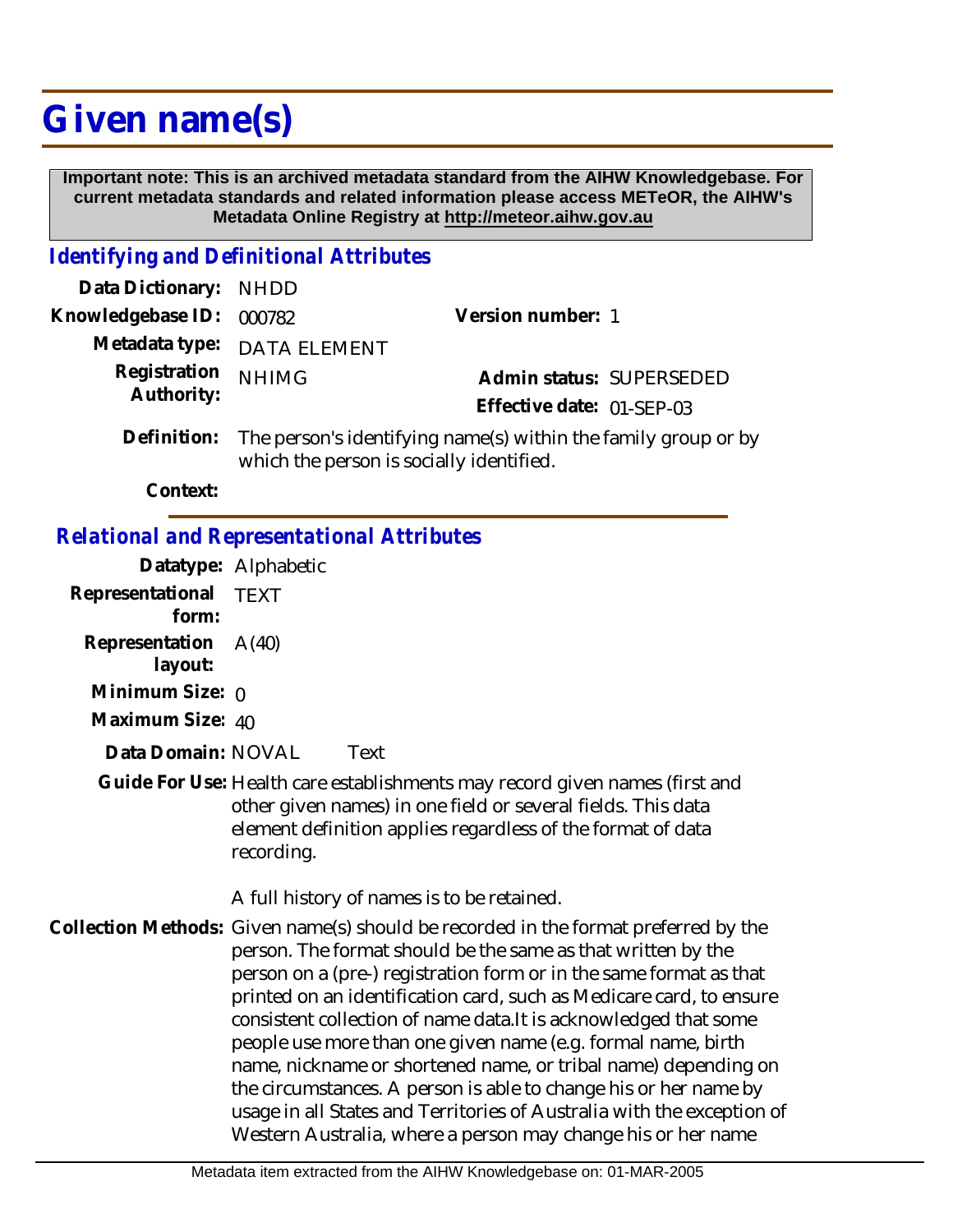# **Given name(s)**

 **Important note: This is an archived metadata standard from the AIHW Knowledgebase. For current metadata standards and related information please access METeOR, the AIHW's Metadata Online Registry at http://meteor.aihw.gov.au**

## *Identifying and Definitional Attributes*

| Data Dictionary: NHDD            |                                                                         |                           |  |
|----------------------------------|-------------------------------------------------------------------------|---------------------------|--|
| Knowledgebase ID: 000782         |                                                                         | Version number: 1         |  |
|                                  | Metadata type: DATA ELEMENT                                             |                           |  |
| Registration NHIMG<br>Authority: |                                                                         | Admin status: SUPERSEDED  |  |
|                                  |                                                                         | Effective date: 01-SEP-03 |  |
|                                  | Definition: The person's identifying name(s) within the family group or |                           |  |

The person's identifying name(s) within the family group or by which the person is socially identified.

**Context:**

#### *Relational and Representational Attributes*

**Datatype:** Alphabetic

|                           | Datatype: Alphabetic                                                                                                                                                                                                                                                                                                                                                                                                                                                                                                                                                                                                                                                                                                 |
|---------------------------|----------------------------------------------------------------------------------------------------------------------------------------------------------------------------------------------------------------------------------------------------------------------------------------------------------------------------------------------------------------------------------------------------------------------------------------------------------------------------------------------------------------------------------------------------------------------------------------------------------------------------------------------------------------------------------------------------------------------|
| Representational<br>form: | <b>TEXT</b>                                                                                                                                                                                                                                                                                                                                                                                                                                                                                                                                                                                                                                                                                                          |
| Representation<br>layout: | A(40)                                                                                                                                                                                                                                                                                                                                                                                                                                                                                                                                                                                                                                                                                                                |
| Minimum Size: $\rho$      |                                                                                                                                                                                                                                                                                                                                                                                                                                                                                                                                                                                                                                                                                                                      |
| Maximum Size: 40          |                                                                                                                                                                                                                                                                                                                                                                                                                                                                                                                                                                                                                                                                                                                      |
| Data Domain: NOVAL        | Text                                                                                                                                                                                                                                                                                                                                                                                                                                                                                                                                                                                                                                                                                                                 |
|                           | Guide For Use: Health care establishments may record given names (first and<br>other given names) in one field or several fields. This data<br>element definition applies regardless of the format of data<br>recording.                                                                                                                                                                                                                                                                                                                                                                                                                                                                                             |
|                           | A full history of names is to be retained.                                                                                                                                                                                                                                                                                                                                                                                                                                                                                                                                                                                                                                                                           |
|                           | Collection Methods: Given name(s) should be recorded in the format preferred by the<br>person. The format should be the same as that written by the<br>person on a (pre-) registration form or in the same format as that<br>printed on an identification card, such as Medicare card, to ensure<br>consistent collection of name data. It is acknowledged that some<br>people use more than one given name (e.g. formal name, birth<br>name, nickname or shortened name, or tribal name) depending on<br>the circumstances. A person is able to change his or her name by<br>usage in all States and Territories of Australia with the exception of<br>Western Australia, where a person may change his or her name |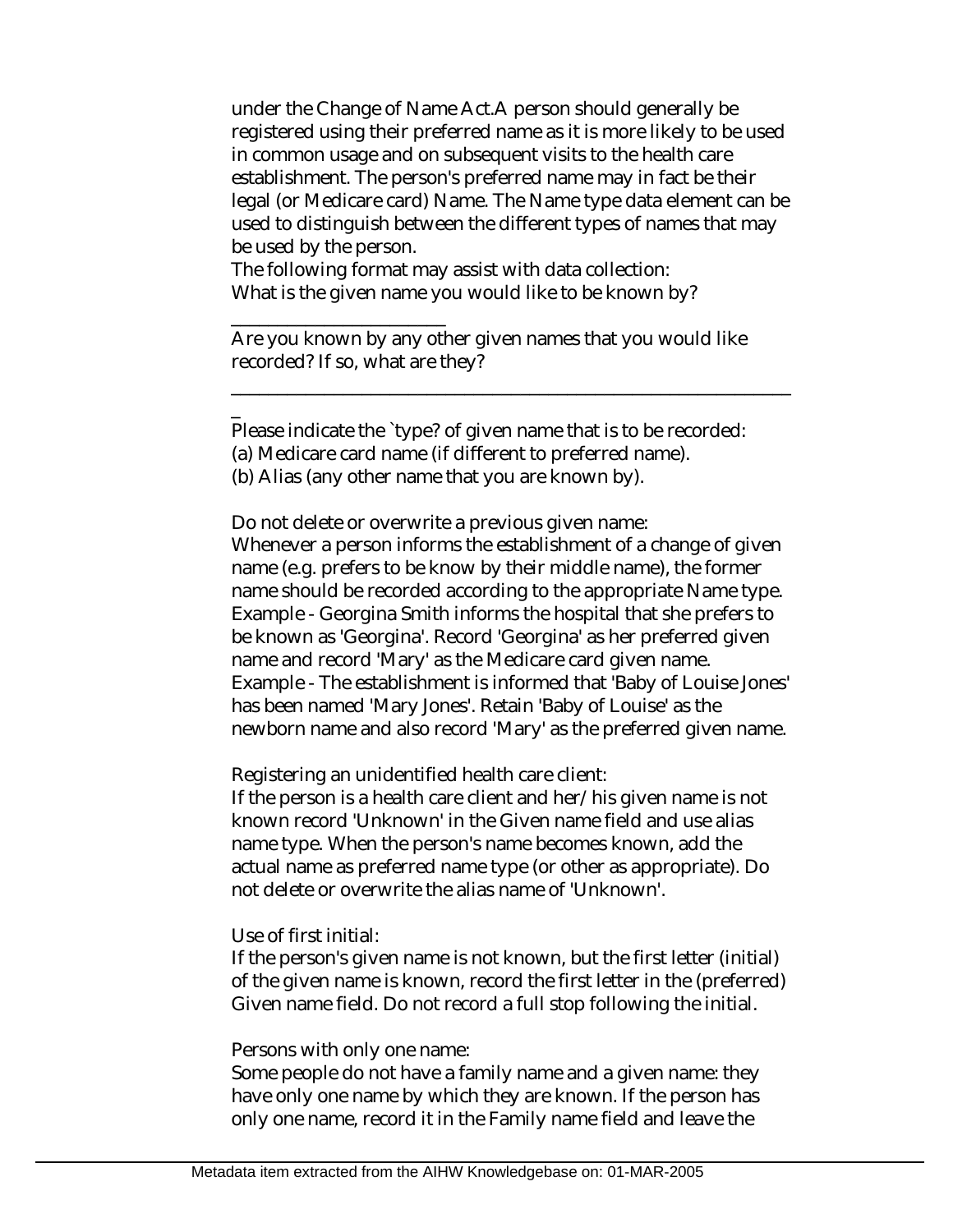under the Change of Name Act.A person should generally be registered using their preferred name as it is more likely to be used in common usage and on subsequent visits to the health care establishment. The person's preferred name may in fact be their legal (or Medicare card) Name. The Name type data element can be used to distinguish between the different types of names that may be used by the person.

The following format may assist with data collection: What is the given name you would like to be known by?

Are you known by any other given names that you would like recorded? If so, what are they?

\_\_\_\_\_\_\_\_\_\_\_\_\_\_\_\_\_\_\_\_\_\_\_\_\_\_\_\_\_\_\_\_\_\_\_\_\_\_\_\_\_\_\_\_\_\_\_\_\_\_\_\_\_\_\_\_\_\_\_\_

Please indicate the `type? of given name that is to be recorded:

(a) Medicare card name (if different to preferred name).

(b) Alias (any other name that you are known by).

\_\_\_\_\_\_\_\_\_\_\_\_\_\_\_\_\_\_\_\_\_\_\_

\_

Do not delete or overwrite a previous given name: Whenever a person informs the establishment of a change of given name (e.g. prefers to be know by their middle name), the former name should be recorded according to the appropriate Name type. Example - Georgina Smith informs the hospital that she prefers to be known as 'Georgina'. Record 'Georgina' as her preferred given name and record 'Mary' as the Medicare card given name. Example - The establishment is informed that 'Baby of Louise Jones' has been named 'Mary Jones'. Retain 'Baby of Louise' as the newborn name and also record 'Mary' as the preferred given name.

Registering an unidentified health care client:

If the person is a health care client and her/his given name is not known record 'Unknown' in the Given name field and use alias name type. When the person's name becomes known, add the actual name as preferred name type (or other as appropriate). Do not delete or overwrite the alias name of 'Unknown'.

#### Use of first initial:

If the person's given name is not known, but the first letter (initial) of the given name is known, record the first letter in the (preferred) Given name field. Do not record a full stop following the initial.

#### Persons with only one name:

Some people do not have a family name and a given name: they have only one name by which they are known. If the person has only one name, record it in the Family name field and leave the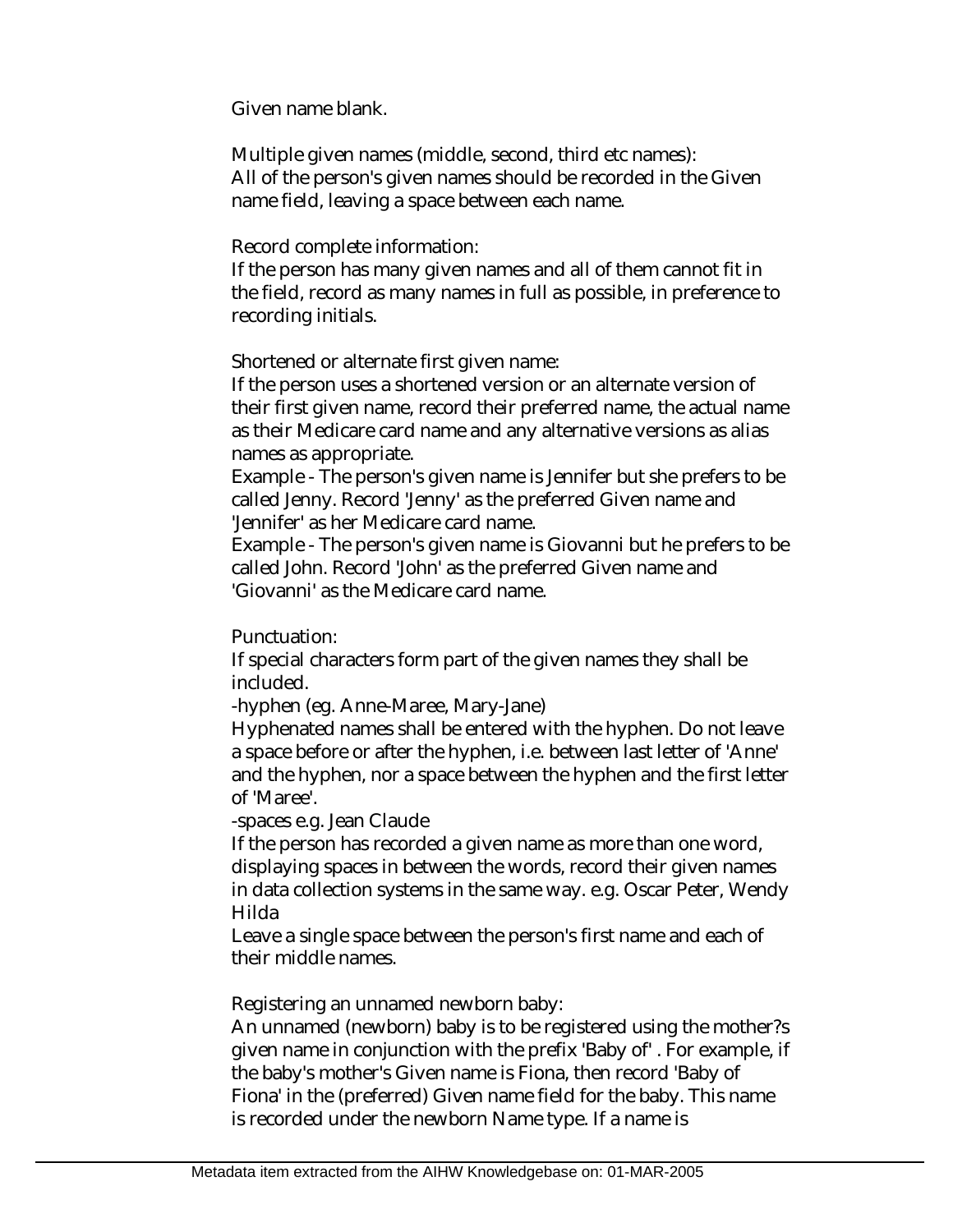Given name blank.

Multiple given names (middle, second, third etc names): All of the person's given names should be recorded in the Given name field, leaving a space between each name.

Record complete information:

If the person has many given names and all of them cannot fit in the field, record as many names in full as possible, in preference to recording initials.

Shortened or alternate first given name:

If the person uses a shortened version or an alternate version of their first given name, record their preferred name, the actual name as their Medicare card name and any alternative versions as alias names as appropriate.

Example - The person's given name is Jennifer but she prefers to be called Jenny. Record 'Jenny' as the preferred Given name and 'Jennifer' as her Medicare card name.

Example - The person's given name is Giovanni but he prefers to be called John. Record 'John' as the preferred Given name and 'Giovanni' as the Medicare card name.

Punctuation:

If special characters form part of the given names they shall be included.

-hyphen (eg. Anne-Maree, Mary-Jane)

Hyphenated names shall be entered with the hyphen. Do not leave a space before or after the hyphen, i.e. between last letter of 'Anne' and the hyphen, nor a space between the hyphen and the first letter of 'Maree'.

-spaces e.g. Jean Claude

If the person has recorded a given name as more than one word, displaying spaces in between the words, record their given names in data collection systems in the same way. e.g. Oscar Peter, Wendy Hilda

Leave a single space between the person's first name and each of their middle names.

Registering an unnamed newborn baby:

An unnamed (newborn) baby is to be registered using the mother?s given name in conjunction with the prefix 'Baby of' . For example, if the baby's mother's Given name is Fiona, then record 'Baby of Fiona' in the (preferred) Given name field for the baby. This name is recorded under the newborn Name type. If a name is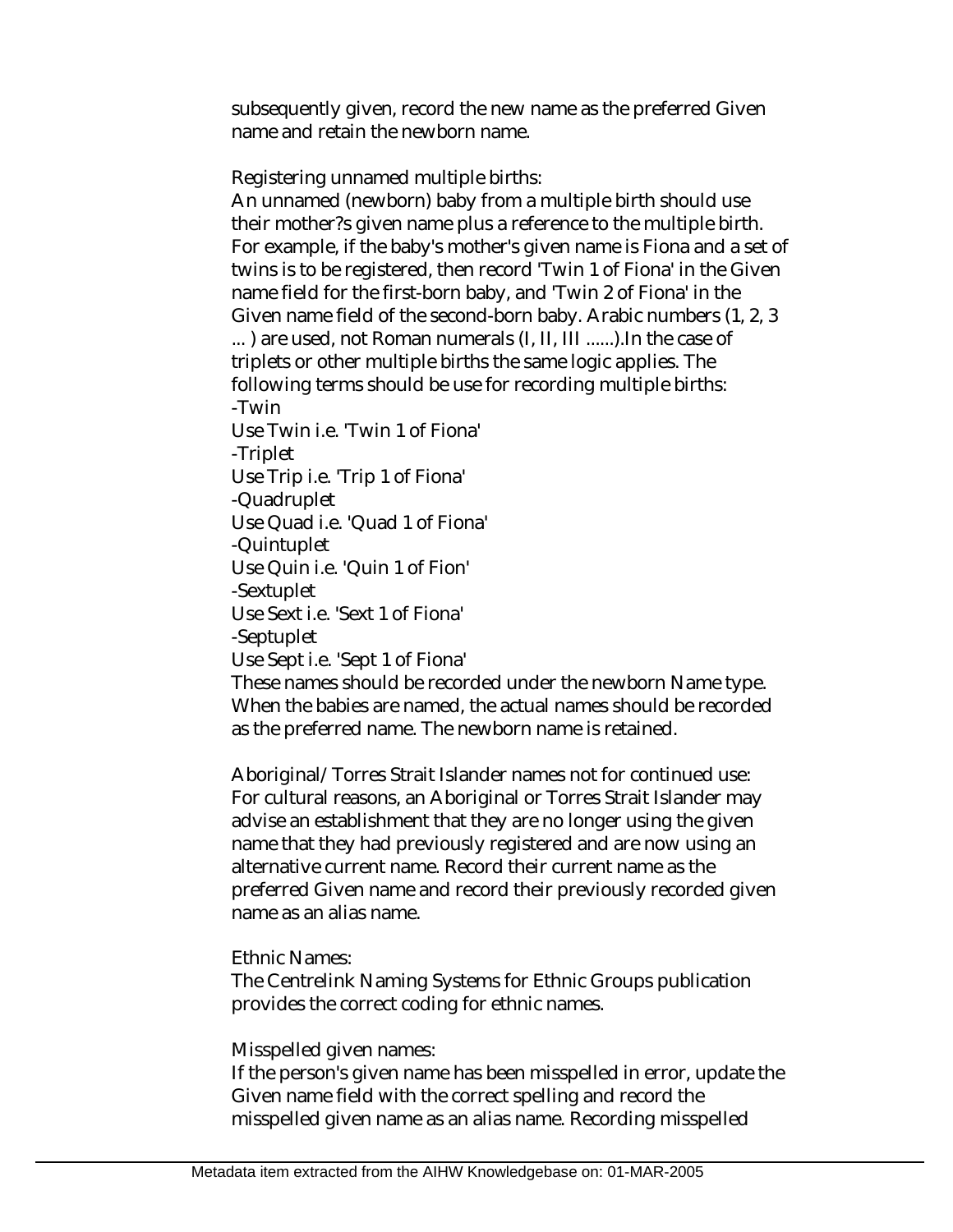subsequently given, record the new name as the preferred Given name and retain the newborn name.

Registering unnamed multiple births:

An unnamed (newborn) baby from a multiple birth should use their mother?s given name plus a reference to the multiple birth. For example, if the baby's mother's given name is Fiona and a set of twins is to be registered, then record 'Twin 1 of Fiona' in the Given name field for the first-born baby, and 'Twin 2 of Fiona' in the Given name field of the second-born baby. Arabic numbers (1, 2, 3 ... ) are used, not Roman numerals (I, II, III ......).In the case of triplets or other multiple births the same logic applies. The following terms should be use for recording multiple births: -Twin

Use Twin i.e. 'Twin 1 of Fiona' -Triplet Use Trip i.e. 'Trip 1 of Fiona' -Quadruplet Use Quad i.e. 'Quad 1 of Fiona' -Quintuplet Use Quin i.e. 'Quin 1 of Fion' -Sextuplet Use Sext i.e. 'Sext 1 of Fiona' -Septuplet Use Sept i.e. 'Sept 1 of Fiona'

These names should be recorded under the newborn Name type. When the babies are named, the actual names should be recorded as the preferred name. The newborn name is retained.

Aboriginal/Torres Strait Islander names not for continued use: For cultural reasons, an Aboriginal or Torres Strait Islander may advise an establishment that they are no longer using the given name that they had previously registered and are now using an alternative current name. Record their current name as the preferred Given name and record their previously recorded given name as an alias name.

Ethnic Names:

The Centrelink Naming Systems for Ethnic Groups publication provides the correct coding for ethnic names.

Misspelled given names:

If the person's given name has been misspelled in error, update the Given name field with the correct spelling and record the misspelled given name as an alias name. Recording misspelled